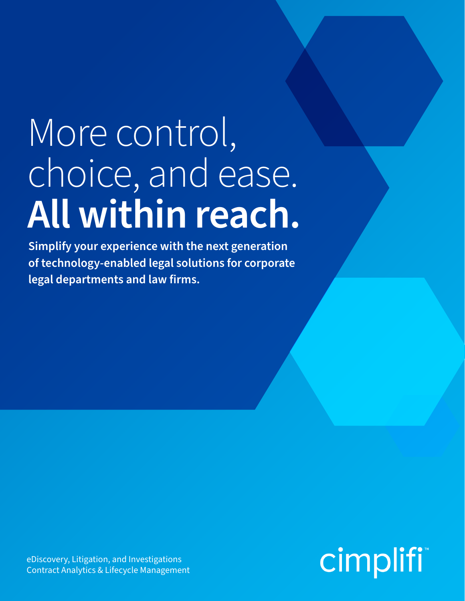# More control, choice, and ease. **All within reach.**

**Simplify your experience with the next generation of technology-enabled legal solutions for corporate legal departments and law firms.**

**cimplifi**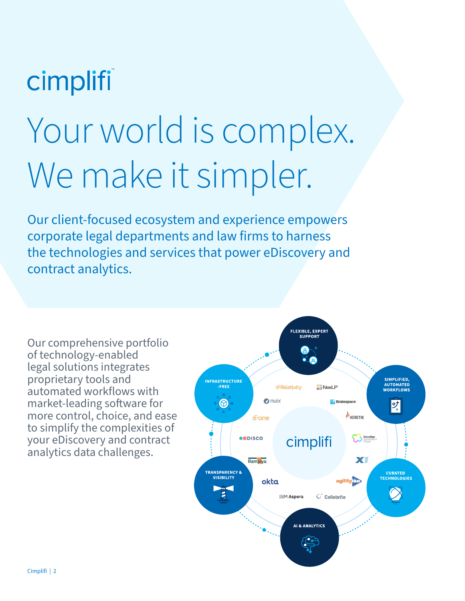# cimplifi

# Your world is complex. We make it simpler.

Our client-focused ecosystem and experience empowers corporate legal departments and law firms to harness the technologies and services that power eDiscovery and contract analytics.

Our comprehensive portfolio of technology-enabled legal solutions integrates proprietary tools and automated workflows with market-leading software for more control, choice, and ease to simplify the complexities of your eDiscovery and contract analytics data challenges.

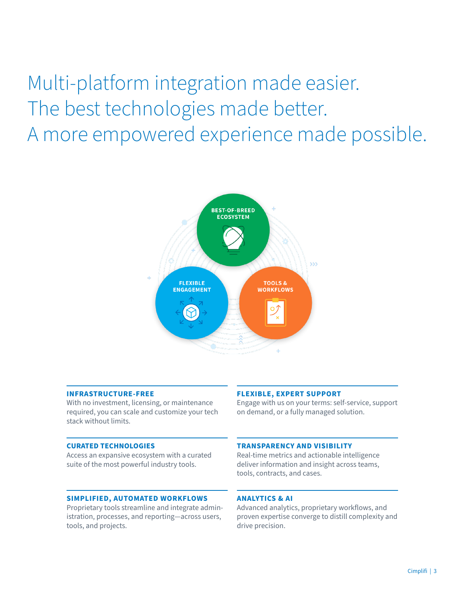Multi-platform integration made easier. The best technologies made better. A more empowered experience made possible.



### **INFRASTRUCTURE-FREE**

With no investment, licensing, or maintenance required, you can scale and customize your tech stack without limits.

#### **CURATED TECHNOLOGIES**

Access an expansive ecosystem with a curated suite of the most powerful industry tools.

### **SIMPLIFIED, AUTOMATED WORKFLOWS**

Proprietary tools streamline and integrate administration, processes, and reporting—across users, tools, and projects.

### **FLEXIBLE, EXPERT SUPPORT**

Engage with us on your terms: self-service, support on demand, or a fully managed solution.

### **TRANSPARENCY AND VISIBILITY**

Real-time metrics and actionable intelligence deliver information and insight across teams, tools, contracts, and cases.

### **ANALYTICS & AI**

Advanced analytics, proprietary workflows, and proven expertise converge to distill complexity and drive precision.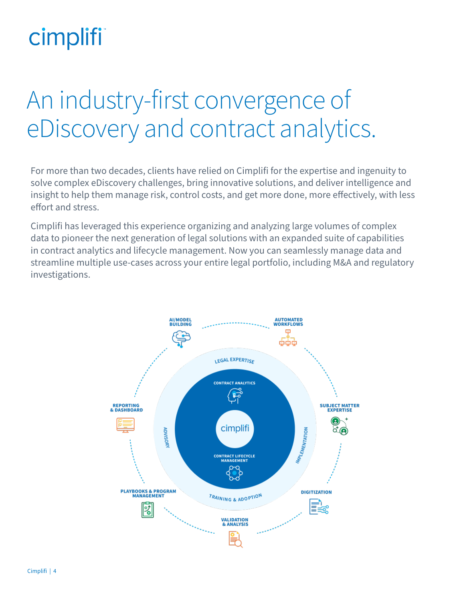# cimplifi

# An industry-first convergence of eDiscovery and contract analytics.

For more than two decades, clients have relied on Cimplifi for the expertise and ingenuity to solve complex eDiscovery challenges, bring innovative solutions, and deliver intelligence and insight to help them manage risk, control costs, and get more done, more effectively, with less effort and stress.

Cimplifi has leveraged this experience organizing and analyzing large volumes of complex data to pioneer the next generation of legal solutions with an expanded suite of capabilities in contract analytics and lifecycle management. Now you can seamlessly manage data and streamline multiple use-cases across your entire legal portfolio, including M&A and regulatory investigations.

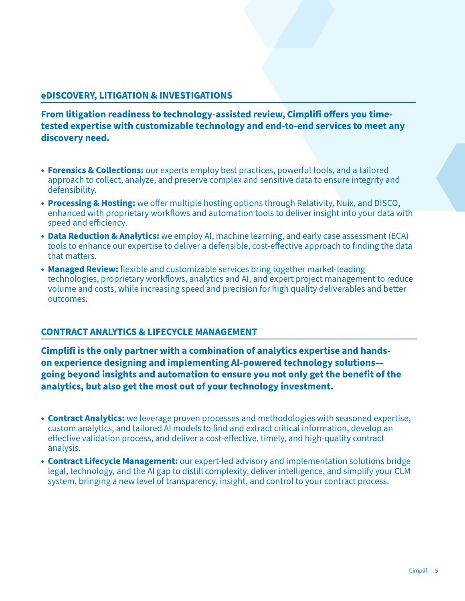# **eDISCOVERY, LITIGATION & INVESTIGATIONS**

**From litigation readiness to technology-assisted review, Cimplifi offers you timetested expertise with customizable technology and end-to-end services to meet any discovery need.** 

- **• Forensics & Collections:** our experts employ best practices, powerful tools, and a tailored approach to collect, analyze, and preserve complex and sensitive data to ensure integrity and defensibility.
- **• Processing & Hosting:** we offer multiple hosting options through Relativity, Nuix, and DISCO, enhanced with proprietary workflows and automation tools to deliver insight into your data with speed and efficiency.
- **• Data Reduction & Analytics:** we employ AI, machine learning, and early case assessment (ECA) tools to enhance our expertise to deliver a defensible, cost-effective approach to finding the data that matters.
- **• Managed Review:** flexible and customizable services bring together market-leading technologies, proprietary workflows, analytics and AI, and expert project management to reduce volume and costs, while increasing speed and precision for high quality deliverables and better outcomes.

## **CONTRACT ANALYTICS & LIFECYCLE MANAGEMENT**

**Cimplifi is the only partner with a combination of analytics expertise and handson experience designing and implementing AI-powered technology solutions going beyond insights and automation to ensure you not only get the benefit of the analytics, but also get the most out of your technology investment.**

- **• Contract Analytics:** we leverage proven processes and methodologies with seasoned expertise, custom analytics, and tailored AI models to find and extract critical information, develop an effective validation process, and deliver a cost-effective, timely, and high-quality contract analysis.
- **• Contract Lifecycle Management:** our expert-led advisory and implementation solutions bridge legal, technology, and the AI gap to distill complexity, deliver intelligence, and simplify your CLM system, bringing a new level of transparency, insight, and control to your contract process.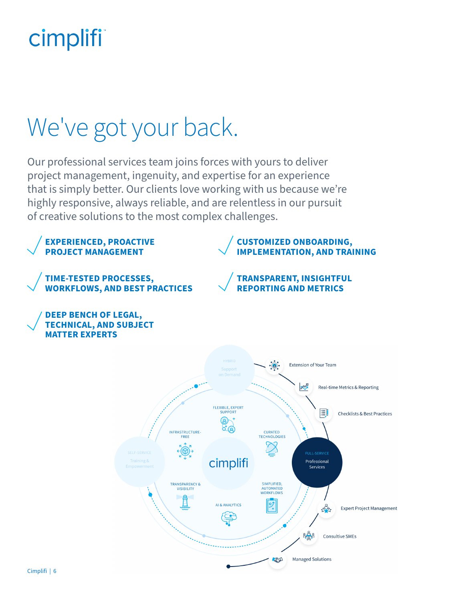# cimplifi

# We've got your back.

Our professional services team joins forces with yours to deliver project management, ingenuity, and expertise for an experience that is simply better. Our clients love working with us because we're highly responsive, always reliable, and are relentless in our pursuit of creative solutions to the most complex challenges.

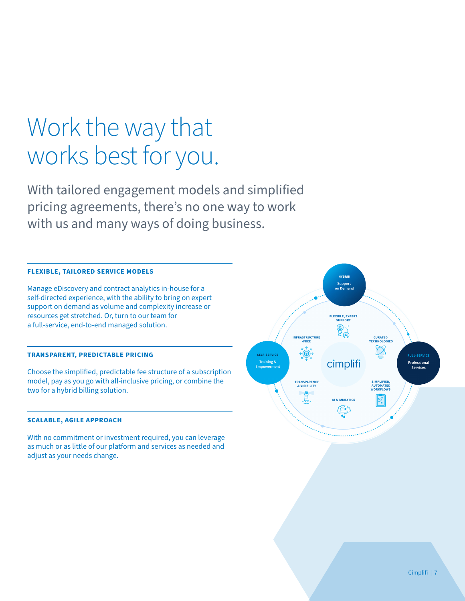# Work the way that works best for you.

With tailored engagement models and simplified pricing agreements, there's no one way to work with us and many ways of doing business.

### **FLEXIBLE, TAILORED SERVICE MODELS**

Manage eDiscovery and contract analytics in-house for a self-directed experience, with the ability to bring on expert support on demand as volume and complexity increase or resources get stretched. Or, turn to our team for a full-service, end-to-end managed solution.

### **TRANSPARENT, PREDICTABLE PRICING**

Choose the simplified, predictable fee structure of a subscription model, pay as you go with all-inclusive pricing, or combine the two for a hybrid billing solution.

#### **SCALABLE, AGILE APPROACH**

With no commitment or investment required, you can leverage as much or as little of our platform and services as needed and adjust as your needs change.